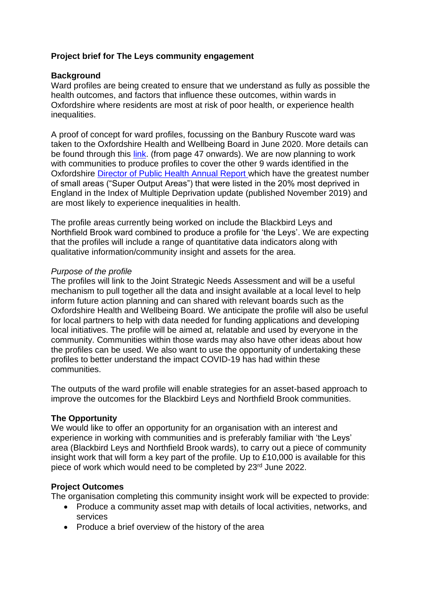## **Project brief for The Leys community engagement**

#### **Background**

Ward profiles are being created to ensure that we understand as fully as possible the health outcomes, and factors that influence these outcomes, within wards in Oxfordshire where residents are most at risk of poor health, or experience health inequalities.

A proof of concept for ward profiles, focussing on the Banbury Ruscote ward was taken to the Oxfordshire Health and Wellbeing Board in June 2020. More details can be found through this [link.](https://mycouncil.oxfordshire.gov.uk/documents/g6112/Public%20reports%20pack%20Thursday%2018-Jun-2020%2014.00%20Oxfordshire%20Health%20Wellbeing%20Board.pdf?T=10) (from page 47 onwards). We are now planning to work with communities to produce profiles to cover the other 9 wards identified in the Oxfordshire [Director of Public Health Annual Report](https://www.oxfordshire.gov.uk/sites/default/files/file/public-health/PublicHealthAnnualReportMay2020.pdf) which have the greatest number of small areas ("Super Output Areas") that were listed in the 20% most deprived in England in the Index of Multiple Deprivation update (published November 2019) and are most likely to experience inequalities in health.

The profile areas currently being worked on include the Blackbird Leys and Northfield Brook ward combined to produce a profile for 'the Leys'. We are expecting that the profiles will include a range of quantitative data indicators along with qualitative information/community insight and assets for the area.

#### *Purpose of the profile*

The profiles will link to the Joint Strategic Needs Assessment and will be a useful mechanism to pull together all the data and insight available at a local level to help inform future action planning and can shared with relevant boards such as the Oxfordshire Health and Wellbeing Board. We anticipate the profile will also be useful for local partners to help with data needed for funding applications and developing local initiatives. The profile will be aimed at, relatable and used by everyone in the community. Communities within those wards may also have other ideas about how the profiles can be used. We also want to use the opportunity of undertaking these profiles to better understand the impact COVID-19 has had within these communities.

The outputs of the ward profile will enable strategies for an asset-based approach to improve the outcomes for the Blackbird Leys and Northfield Brook communities.

## **The Opportunity**

We would like to offer an opportunity for an organisation with an interest and experience in working with communities and is preferably familiar with 'the Leys' area (Blackbird Leys and Northfield Brook wards), to carry out a piece of community insight work that will form a key part of the profile. Up to £10,000 is available for this piece of work which would need to be completed by 23<sup>rd</sup> June 2022.

## **Project Outcomes**

The organisation completing this community insight work will be expected to provide:

- Produce a community asset map with details of local activities, networks, and services
- Produce a brief overview of the history of the area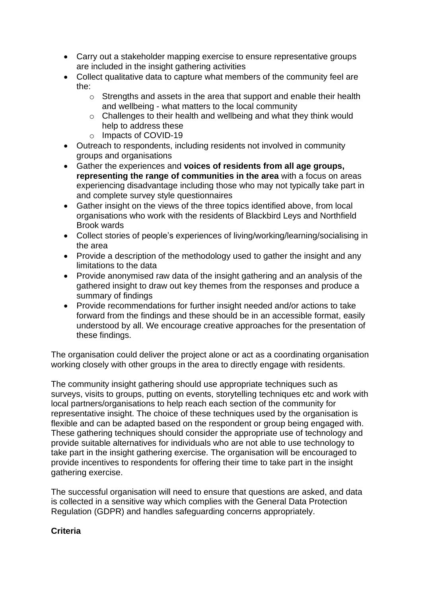- Carry out a stakeholder mapping exercise to ensure representative groups are included in the insight gathering activities
- Collect qualitative data to capture what members of the community feel are the:
	- o Strengths and assets in the area that support and enable their health and wellbeing - what matters to the local community
	- $\circ$  Challenges to their health and wellbeing and what they think would help to address these
	- o Impacts of COVID-19
- Outreach to respondents, including residents not involved in community groups and organisations
- Gather the experiences and **voices of residents from all age groups, representing the range of communities in the area** with a focus on areas experiencing disadvantage including those who may not typically take part in and complete survey style questionnaires
- Gather insight on the views of the three topics identified above, from local organisations who work with the residents of Blackbird Leys and Northfield Brook wards
- Collect stories of people's experiences of living/working/learning/socialising in the area
- Provide a description of the methodology used to gather the insight and any limitations to the data
- Provide anonymised raw data of the insight gathering and an analysis of the gathered insight to draw out key themes from the responses and produce a summary of findings
- Provide recommendations for further insight needed and/or actions to take forward from the findings and these should be in an accessible format, easily understood by all. We encourage creative approaches for the presentation of these findings.

The organisation could deliver the project alone or act as a coordinating organisation working closely with other groups in the area to directly engage with residents.

The community insight gathering should use appropriate techniques such as surveys, visits to groups, putting on events, storytelling techniques etc and work with local partners/organisations to help reach each section of the community for representative insight. The choice of these techniques used by the organisation is flexible and can be adapted based on the respondent or group being engaged with. These gathering techniques should consider the appropriate use of technology and provide suitable alternatives for individuals who are not able to use technology to take part in the insight gathering exercise. The organisation will be encouraged to provide incentives to respondents for offering their time to take part in the insight gathering exercise.

The successful organisation will need to ensure that questions are asked, and data is collected in a sensitive way which complies with the General Data Protection Regulation (GDPR) and handles safeguarding concerns appropriately.

# **Criteria**